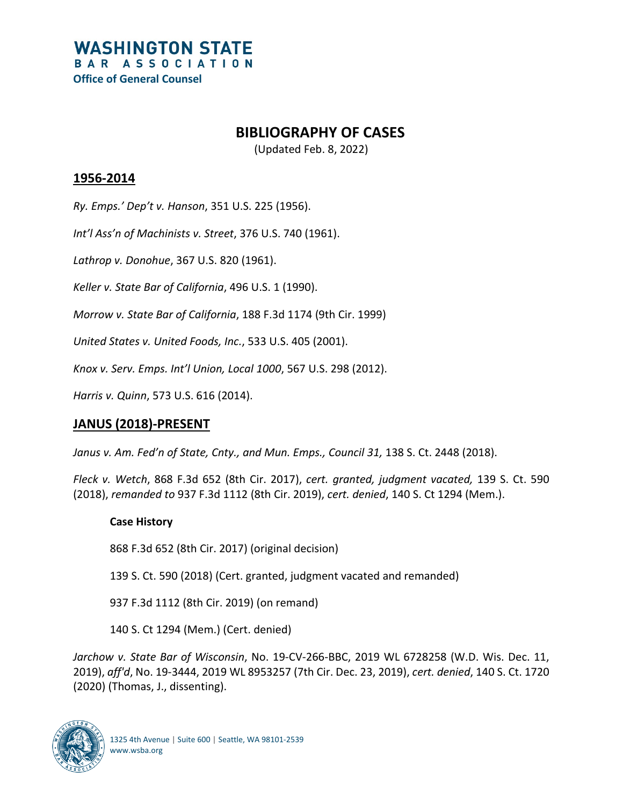# **BIBLIOGRAPHY OF CASES**

(Updated Feb. 8, 2022)

## **1956-2014**

*Ry. Emps.' Dep't v. Hanson*, 351 U.S. 225 (1956).

*Int'l Ass'n of Machinists v. Street*, 376 U.S. 740 (1961).

*Lathrop v. Donohue*, 367 U.S. 820 (1961).

*Keller v. State Bar of California*, 496 U.S. 1 (1990).

*Morrow v. State Bar of California*, 188 F.3d 1174 (9th Cir. 1999)

*United States v. United Foods, Inc.*, 533 U.S. 405 (2001).

*Knox v. Serv. Emps. Int'l Union, Local 1000*, 567 U.S. 298 (2012).

*Harris v. Quinn*, 573 U.S. 616 (2014).

## **JANUS (2018)-PRESENT**

*Janus v. Am. Fed'n of State, Cnty., and Mun. Emps., Council 31,* 138 S. Ct. 2448 (2018).

*Fleck v. Wetch*, 868 F.3d 652 (8th Cir. 2017), *cert. granted, judgment vacated,* 139 S. Ct. 590 (2018), *remanded to* 937 F.3d 1112 (8th Cir. 2019), *cert. denied*, 140 S. Ct 1294 (Mem.).

#### **Case History**

868 F.3d 652 (8th Cir. 2017) (original decision)

139 S. Ct. 590 (2018) (Cert. granted, judgment vacated and remanded)

937 F.3d 1112 (8th Cir. 2019) (on remand)

140 S. Ct 1294 (Mem.) (Cert. denied)

*Jarchow v. State Bar of Wisconsin*, No. 19-CV-266-BBC, 2019 WL 6728258 (W.D. Wis. Dec. 11, 2019), *aff'd*, No. 19-3444, 2019 WL 8953257 (7th Cir. Dec. 23, 2019), *cert. denied*, 140 S. Ct. 1720 (2020) (Thomas, J., dissenting).

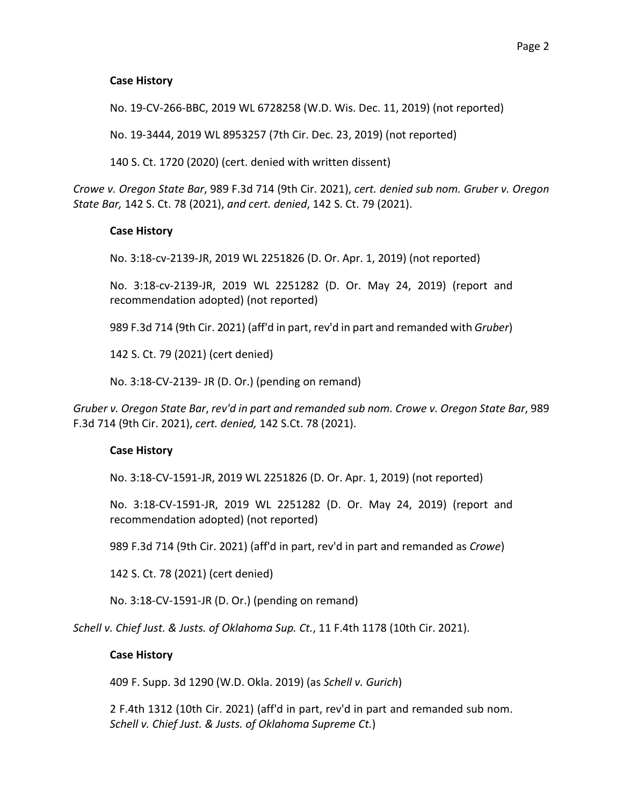#### **Case History**

No. 19-CV-266-BBC, 2019 WL 6728258 (W.D. Wis. Dec. 11, 2019) (not reported)

No. 19-3444, 2019 WL 8953257 (7th Cir. Dec. 23, 2019) (not reported)

140 S. Ct. 1720 (2020) (cert. denied with written dissent)

*Crowe v. Oregon State Bar*, 989 F.3d 714 (9th Cir. 2021), *cert. denied sub nom. Gruber v. Oregon State Bar,* 142 S. Ct. 78 (2021), *and cert. denied*, 142 S. Ct. 79 (2021).

#### **Case History**

No. 3:18-cv-2139-JR, 2019 WL 2251826 (D. Or. Apr. 1, 2019) (not reported)

No. 3:18-cv-2139-JR, 2019 WL 2251282 (D. Or. May 24, 2019) (report and recommendation adopted) (not reported)

989 F.3d 714 (9th Cir. 2021) (aff'd in part, rev'd in part and remanded with *Gruber*)

142 S. Ct. 79 (2021) (cert denied)

No. 3:18-CV-2139- JR (D. Or.) (pending on remand)

*Gruber v. Oregon State Bar*, *rev'd in part and remanded sub nom. Crowe v. Oregon State Bar*, 989 F.3d 714 (9th Cir. 2021), *cert. denied,* 142 S.Ct. 78 (2021).

#### **Case History**

No. 3:18-CV-1591-JR, 2019 WL 2251826 (D. Or. Apr. 1, 2019) (not reported)

No. 3:18-CV-1591-JR, 2019 WL 2251282 (D. Or. May 24, 2019) (report and recommendation adopted) (not reported)

989 F.3d 714 (9th Cir. 2021) (aff'd in part, rev'd in part and remanded as *Crowe*)

142 S. Ct. 78 (2021) (cert denied)

No. 3:18-CV-1591-JR (D. Or.) (pending on remand)

*Schell v. Chief Just. & Justs. of Oklahoma Sup. Ct.*, 11 F.4th 1178 (10th Cir. 2021).

#### **Case History**

409 F. Supp. 3d 1290 (W.D. Okla. 2019) (as *Schell v. Gurich*)

2 F.4th 1312 (10th Cir. 2021) (aff'd in part, rev'd in part and remanded sub nom. *Schell v. Chief Just. & Justs. of Oklahoma Supreme Ct.*)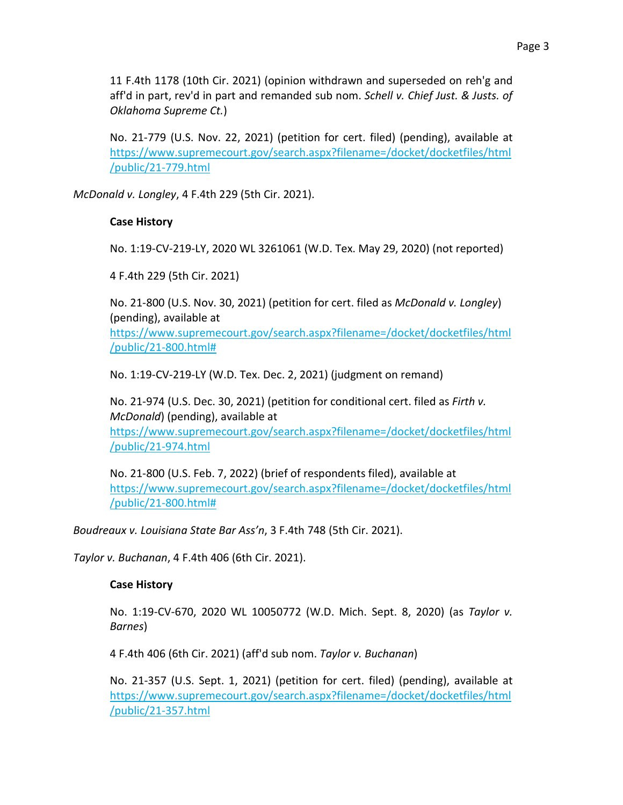11 F.4th 1178 (10th Cir. 2021) (opinion withdrawn and superseded on reh'g and aff'd in part, rev'd in part and remanded sub nom. *Schell v. Chief Just. & Justs. of Oklahoma Supreme Ct.*)

No. 21-779 (U.S. Nov. 22, 2021) (petition for cert. filed) (pending), available at [https://www.supremecourt.gov/search.aspx?filename=/docket/docketfiles/html](https://www.supremecourt.gov/search.aspx?filename=/docket/docketfiles/html/public/21-779.html) [/public/21-779.html](https://www.supremecourt.gov/search.aspx?filename=/docket/docketfiles/html/public/21-779.html)

*McDonald v. Longley*, 4 F.4th 229 (5th Cir. 2021).

### **Case History**

No. 1:19-CV-219-LY, 2020 WL 3261061 (W.D. Tex. May 29, 2020) (not reported)

4 F.4th 229 (5th Cir. 2021)

No. 21-800 (U.S. Nov. 30, 2021) (petition for cert. filed as *McDonald v. Longley*) (pending), available at

[https://www.supremecourt.gov/search.aspx?filename=/docket/docketfiles/html](https://www.supremecourt.gov/search.aspx?filename=/docket/docketfiles/html/public/21-800.html) [/public/21-800.html#](https://www.supremecourt.gov/search.aspx?filename=/docket/docketfiles/html/public/21-800.html)

No. 1:19-CV-219-LY (W.D. Tex. Dec. 2, 2021) (judgment on remand)

No. 21-974 (U.S. Dec. 30, 2021) (petition for conditional cert. filed as *Firth v. McDonald*) (pending), available at [https://www.supremecourt.gov/search.aspx?filename=/docket/docketfiles/html](https://www.supremecourt.gov/search.aspx?filename=/docket/docketfiles/html/public/21-974.html) [/public/21-974.html](https://www.supremecourt.gov/search.aspx?filename=/docket/docketfiles/html/public/21-974.html)

No. 21-800 (U.S. Feb. 7, 2022) (brief of respondents filed), available at [https://www.supremecourt.gov/search.aspx?filename=/docket/docketfiles/html](https://www.supremecourt.gov/search.aspx?filename=/docket/docketfiles/html/public/21-800.html) [/public/21-800.html#](https://www.supremecourt.gov/search.aspx?filename=/docket/docketfiles/html/public/21-800.html)

*Boudreaux v. Louisiana State Bar Ass'n*, 3 F.4th 748 (5th Cir. 2021).

*Taylor v. Buchanan*, 4 F.4th 406 (6th Cir. 2021).

### **Case History**

No. 1:19-CV-670, 2020 WL 10050772 (W.D. Mich. Sept. 8, 2020) (as *Taylor v. Barnes*)

4 F.4th 406 (6th Cir. 2021) (aff'd sub nom. *Taylor v. Buchanan*)

No. 21-357 (U.S. Sept. 1, 2021) (petition for cert. filed) (pending), available at [https://www.supremecourt.gov/search.aspx?filename=/docket/docketfiles/html](https://www.supremecourt.gov/search.aspx?filename=/docket/docketfiles/html/public/21-357.html) [/public/21-357.html](https://www.supremecourt.gov/search.aspx?filename=/docket/docketfiles/html/public/21-357.html)